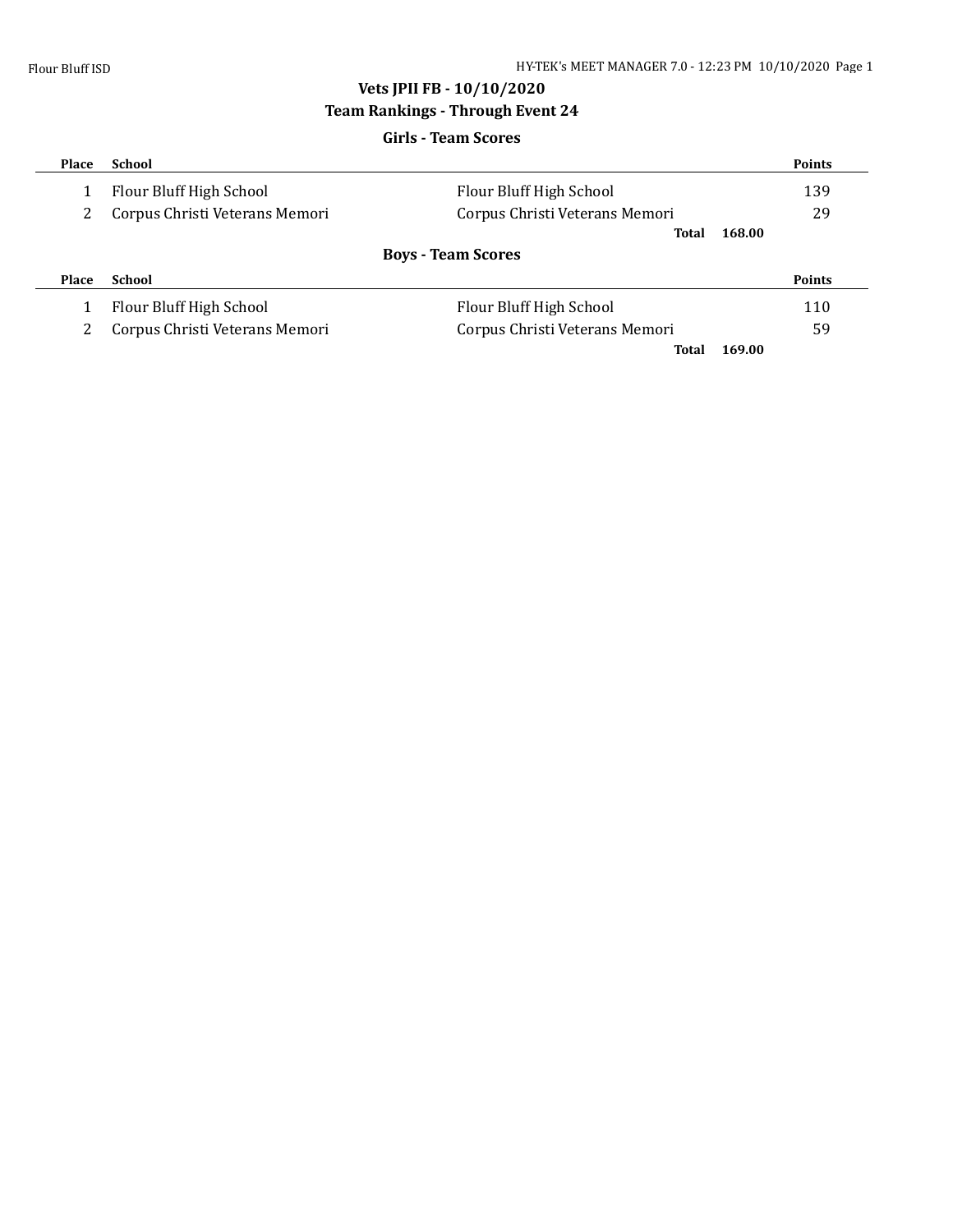### **Vets JPII FB - 10/10/2020**

### **Team Rankings - Through Event 24**

# **Girls - Team Scores Place School Points** 1 Flour Bluff High School Flour Bluff High School 139 2 Corpus Christi Veterans Memori Corpus Christi Veterans Memori 29 **Total 168.00 Boys - Team Scores Place School Points** 1 Flour Bluff High School **Flour Bluff High School** 110 2 Corpus Christi Veterans Memori Corpus Christi Veterans Memori 59 **Total 169.00**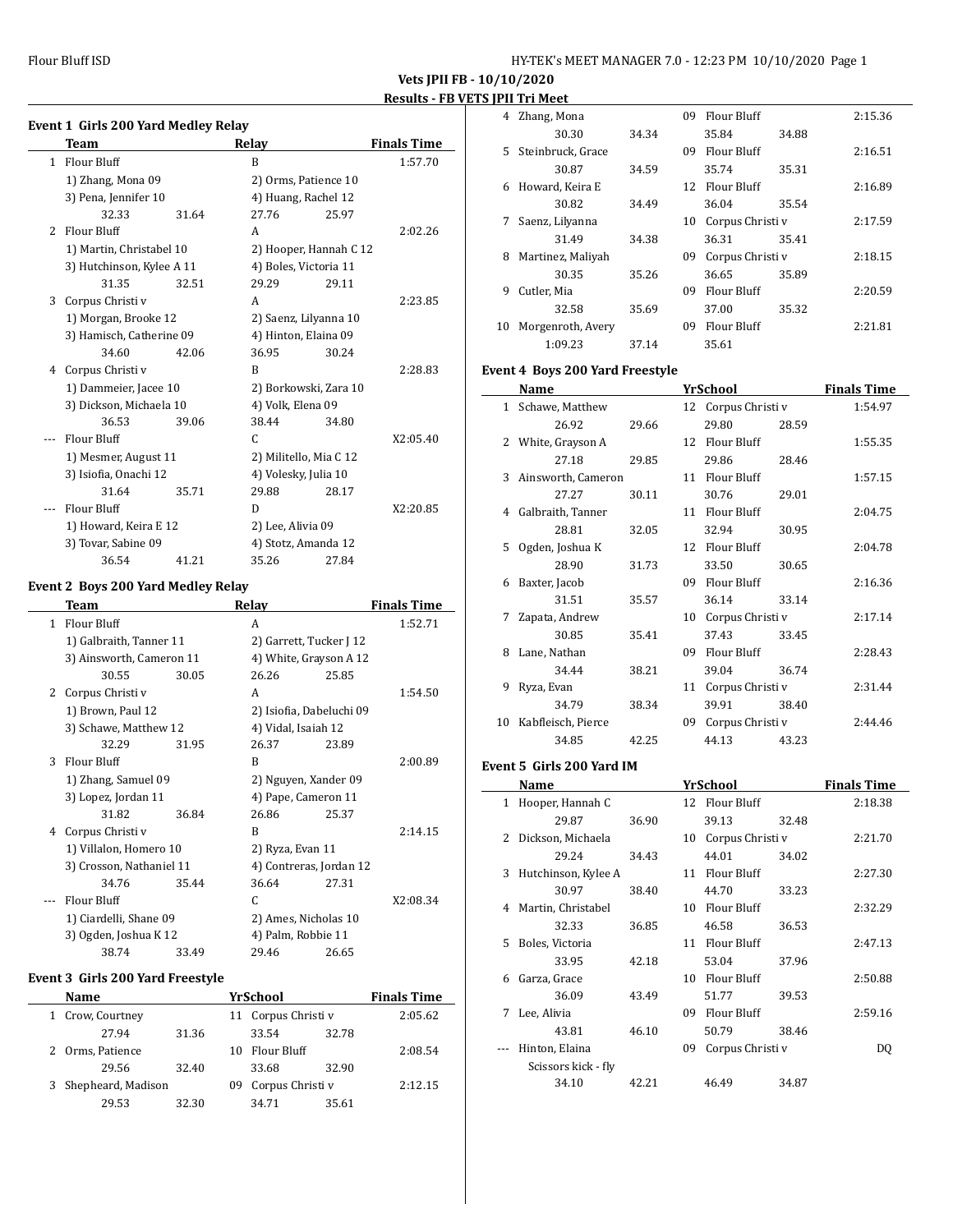|                | Event 1 Girls 200 Yard Medley Relay       |                          |                    |
|----------------|-------------------------------------------|--------------------------|--------------------|
|                | Team                                      | Relay                    | <b>Finals Time</b> |
|                | 1 Flour Bluff                             | B                        | 1:57.70            |
|                | 1) Zhang, Mona 09                         | 2) Orms, Patience 10     |                    |
|                | 3) Pena, Jennifer 10                      | 4) Huang, Rachel 12      |                    |
|                | 32.33                                     | 27.76<br>25.97<br>31.64  |                    |
|                | 2 Flour Bluff                             | A                        | 2:02.26            |
|                | 1) Martin, Christabel 10                  | 2) Hooper, Hannah C 12   |                    |
|                | 3) Hutchinson, Kylee A 11                 | 4) Boles, Victoria 11    |                    |
|                | 31.35                                     | 32.51<br>29.29<br>29.11  |                    |
| 3              | Corpus Christi v                          | A                        | 2:23.85            |
|                | 1) Morgan, Brooke 12                      | 2) Saenz, Lilyanna 10    |                    |
|                | 3) Hamisch, Catherine 09                  | 4) Hinton, Elaina 09     |                    |
|                | 34.60                                     | 42.06<br>36.95<br>30.24  |                    |
|                | 4 Corpus Christi v                        | B                        | 2:28.83            |
|                | 1) Dammeier, Jacee 10                     | 2) Borkowski, Zara 10    |                    |
|                | 3) Dickson, Michaela 10                   | 4) Volk, Elena 09        |                    |
|                | 36.53                                     | 38.44<br>39.06<br>34.80  |                    |
|                | Flour Bluff                               | C                        | X2:05.40           |
|                | 1) Mesmer, August 11                      | 2) Militello, Mia C 12   |                    |
|                | 3) Isiofia, Onachi 12                     | 4) Volesky, Julia 10     |                    |
|                | 31.64                                     | 35.71<br>29.88<br>28.17  |                    |
| $\overline{a}$ | Flour Bluff                               | D                        | X2:20.85           |
|                | 1) Howard, Keira E 12                     | 2) Lee, Alivia 09        |                    |
|                | 3) Tovar, Sabine 09                       | 4) Stotz, Amanda 12      |                    |
|                | 36.54                                     | 35.26<br>27.84<br>41.21  |                    |
|                | <b>Event 2 Boys 200 Yard Medley Relay</b> |                          |                    |
|                | Team                                      | Relay                    | <b>Finals Time</b> |
|                | 1 Flour Bluff                             | A                        | 1:52.71            |
|                | 1) Galbraith, Tanner 11                   | 2) Garrett, Tucker J 12  |                    |
|                | 3) Ainsworth, Cameron 11                  | 4) White, Grayson A 12   |                    |
|                | 30.55                                     | 26.26<br>25.85<br>30.05  |                    |
|                | 2 Corpus Christi v                        | A                        | 1:54.50            |
|                | 1) Brown, Paul 12                         | 2) Isiofia, Dabeluchi 09 |                    |
|                | 3) Schawe, Matthew 12                     | 4) Vidal, Isaiah 12      |                    |
|                | 32.29                                     | 31.95<br>26.37<br>23.89  |                    |
| 3              | <b>Flour Bluff</b>                        | B                        | 2:00.89            |
|                | 1) Zhang, Samuel 09                       | 2) Nguyen, Xander 09     |                    |
|                | 3) Lopez, Jordan 11                       | 4) Pape, Cameron 11      |                    |
|                | 31.82                                     | 36.84<br>26.86<br>25.37  |                    |
| 4              | Corpus Christi v                          | B                        | 2:14.15            |
|                | 1) Villalon, Homero 10                    | 2) Ryza, Evan 11         |                    |
|                | 3) Crosson, Nathaniel 11                  | 4) Contreras, Jordan 12  |                    |
|                | 34.76                                     | 36.64<br>27.31<br>35.44  |                    |
| $\overline{a}$ | Flour Bluff                               | C                        | X2:08.34           |
|                | 1) Ciardelli, Shane 09                    | 2) Ames, Nicholas 10     |                    |
|                | 3) Ogden, Joshua K 12                     | 4) Palm, Robbie 11       |                    |
|                | 38.74                                     | 29.46<br>33.49<br>26.65  |                    |

### **Event 3 Girls 200 Yard Freestyle**

| <b>Name</b>          |       |    | YrSchool         |       | <b>Finals Time</b> |
|----------------------|-------|----|------------------|-------|--------------------|
| 1 Crow, Courtney     |       | 11 | Corpus Christi v |       | 2:05.62            |
| 27.94                | 31.36 |    | 33.54            | 32.78 |                    |
| 2 Orms, Patience     |       | 10 | Flour Bluff      |       | 2:08.54            |
| 29.56                | 32.40 |    | 33.68            | 32.90 |                    |
| 3 Shepheard, Madison |       | 09 | Corpus Christi v |       | 2:12.15            |
| 29.53                | 32.30 |    | 34.71            | 35.61 |                    |

|    | 11 11 111 M.C.C   |       |    |                  |       |         |
|----|-------------------|-------|----|------------------|-------|---------|
| 4  | Zhang, Mona       |       | 09 | Flour Bluff      |       | 2:15.36 |
|    | 30.30             | 34.34 |    | 35.84            | 34.88 |         |
| 5. | Steinbruck, Grace |       | 09 | Flour Bluff      |       | 2:16.51 |
|    | 30.87             | 34.59 |    | 35.74            | 35.31 |         |
| 6  | Howard, Keira E   |       |    | 12 Flour Bluff   |       | 2:16.89 |
|    | 30.82             | 34.49 |    | 36.04            | 35.54 |         |
| 7  | Saenz, Lilyanna   |       | 10 | Corpus Christi v |       | 2:17.59 |
|    | 31.49             | 34.38 |    | 36.31            | 35.41 |         |
| 8  | Martinez, Maliyah |       | 09 | Corpus Christi v |       | 2:18.15 |
|    | 30.35             | 35.26 |    | 36.65            | 35.89 |         |
| 9  | Cutler, Mia       |       | 09 | Flour Bluff      |       | 2:20.59 |
|    | 32.58             | 35.69 |    | 37.00            | 35.32 |         |
| 10 | Morgenroth, Avery |       | 09 | Flour Bluff      |       | 2:21.81 |
|    | 1:09.23           | 37.14 |    | 35.61            |       |         |

### **Event 4 Boys 200 Yard Freestyle**

|    | Name                                                                                               |       |    | YrSchool            |       | <b>Finals Time</b> |
|----|----------------------------------------------------------------------------------------------------|-------|----|---------------------|-------|--------------------|
|    | 1 Schawe, Matthew                                                                                  |       |    | 12 Corpus Christi v |       | 1:54.97            |
|    | 26.92                                                                                              | 29.66 |    | 29.80               | 28.59 |                    |
|    | 2 White, Grayson A                                                                                 |       |    | 12 Flour Bluff      |       | 1:55.35            |
|    | 27.18                                                                                              | 29.85 |    | 29.86               | 28.46 |                    |
|    | 3 Ainsworth, Cameron                                                                               |       |    | 11 Flour Bluff      |       | 1:57.15            |
|    | 27.27                                                                                              | 30.11 |    | 30.76               | 29.01 |                    |
|    | 4 Galbraith, Tanner                                                                                |       |    | 11 Flour Bluff      |       | 2:04.75            |
|    | 28.81                                                                                              | 32.05 |    | 32.94               | 30.95 |                    |
| 5. | Ogden, Joshua K                                                                                    |       | 12 | Flour Bluff         |       | 2:04.78            |
|    | 28.90                                                                                              | 31.73 |    | 33.50               | 30.65 |                    |
| 6  | Baxter, Jacob                                                                                      |       |    | 09 Flour Bluff      |       | 2:16.36            |
|    | 31.51                                                                                              | 35.57 |    | 36.14               | 33.14 |                    |
| 7  | Zapata, Andrew                                                                                     |       | 10 | Corpus Christi v    |       | 2:17.14            |
|    | 30.85                                                                                              | 35.41 |    | 37.43               | 33.45 |                    |
| 8  | Lane, Nathan                                                                                       |       |    | 09 Flour Bluff      |       | 2:28.43            |
|    | 34.44                                                                                              | 38.21 |    | 39.04               | 36.74 |                    |
| 9  | Ryza, Evan                                                                                         |       | 11 | Corpus Christi v    |       | 2:31.44            |
|    | 34.79                                                                                              | 38.34 |    | 39.91               | 38.40 |                    |
| 10 | Kabfleisch, Pierce                                                                                 |       | 09 | Corpus Christi v    |       | 2:44.46            |
|    | 34.85                                                                                              | 42.25 |    | 44.13               | 43.23 |                    |
|    | $\cdots$ $\blacksquare$ $\Omega$ $\ldots$ $\Omega$ $\Omega$ $\ldots$ $\blacksquare$ $\blacksquare$ |       |    |                     |       |                    |

## **Event 5 Girls 200 Yard IM**

|    | Name                |       |    | YrSchool         |       | <b>Finals Time</b> |
|----|---------------------|-------|----|------------------|-------|--------------------|
| 1  | Hooper, Hannah C    |       |    | 12 Flour Bluff   |       | 2:18.38            |
|    | 29.87               | 36.90 |    | 39.13            | 32.48 |                    |
| 2  | Dickson, Michaela   |       | 10 | Corpus Christi v |       | 2:21.70            |
|    | 29.24               | 34.43 |    | 44.01            | 34.02 |                    |
| 3  | Hutchinson, Kylee A |       | 11 | Flour Bluff      |       | 2:27.30            |
|    | 30.97               | 38.40 |    | 44.70            | 33.23 |                    |
| 4  | Martin, Christabel  |       | 10 | Flour Bluff      |       | 2:32.29            |
|    | 32.33               | 36.85 |    | 46.58            | 36.53 |                    |
| 5. | Boles, Victoria     |       | 11 | Flour Bluff      |       | 2:47.13            |
|    | 33.95               | 42.18 |    | 53.04            | 37.96 |                    |
| 6  | Garza, Grace        |       | 10 | Flour Bluff      |       | 2:50.88            |
|    | 36.09               | 43.49 |    | 51.77            | 39.53 |                    |
| 7  | Lee, Alivia         |       | 09 | Flour Bluff      |       | 2:59.16            |
|    | 43.81               | 46.10 |    | 50.79            | 38.46 |                    |
|    | Hinton, Elaina      |       | 09 | Corpus Christi v |       | DQ                 |
|    | Scissors kick - fly |       |    |                  |       |                    |
|    | 34.10               | 42.21 |    | 46.49            | 34.87 |                    |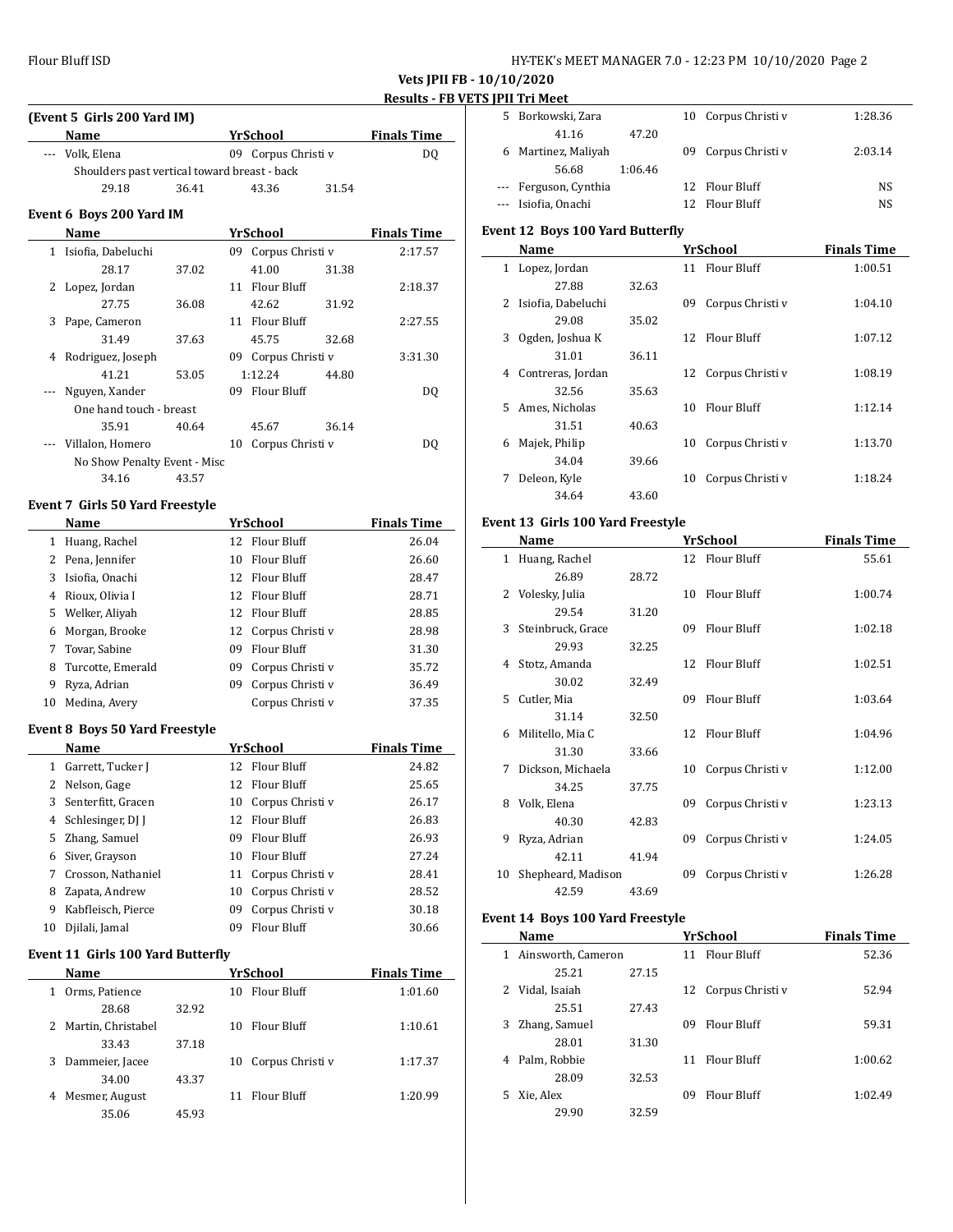| HY-TEK's MEET MANAGER 7.0 - 12:23 PM 10/10/2020 Page 2 |  |  |  |
|--------------------------------------------------------|--|--|--|
|--------------------------------------------------------|--|--|--|

|   | (Event 5 Girls 200 Yard IM)                  |       |     |                     |       |                    |
|---|----------------------------------------------|-------|-----|---------------------|-------|--------------------|
|   | Name                                         |       |     | YrSchool            |       | <b>Finals Time</b> |
|   | --- Volk, Elena                              |       |     | 09 Corpus Christi v |       | DQ                 |
|   | Shoulders past vertical toward breast - back |       |     |                     |       |                    |
|   | 29.18                                        | 36.41 |     | 43.36               | 31.54 |                    |
|   | Event 6 Boys 200 Yard IM                     |       |     |                     |       |                    |
|   | Name                                         |       |     | YrSchool            |       | <b>Finals Time</b> |
|   | 1 Isiofia, Dabeluchi                         |       |     | 09 Corpus Christi v |       | 2:17.57            |
|   | 28.17                                        | 37.02 |     | 41.00               | 31.38 |                    |
| 2 | Lopez, Jordan                                |       |     | 11 Flour Bluff      |       | 2:18.37            |
|   | 27.75                                        | 36.08 |     | 42.62               | 31.92 |                    |
| 3 | Pape, Cameron                                |       |     | 11 Flour Bluff      |       | 2:27.55            |
|   | 31.49                                        | 37.63 |     | 45.75               | 32.68 |                    |
| 4 | Rodriguez, Joseph                            |       | 09. | Corpus Christi v    |       | 3:31.30            |
|   | 41.21                                        | 53.05 |     | 1:12.24             | 44.80 |                    |
|   | Nguyen, Xander                               |       | 09  | Flour Bluff         |       | DQ                 |
|   | One hand touch - breast                      |       |     |                     |       |                    |
|   | 35.91                                        | 40.64 |     | 45.67               | 36.14 |                    |
|   | Villalon, Homero                             |       | 10  | Corpus Christi v    |       | DO.                |
|   | No Show Penalty Event - Misc                 |       |     |                     |       |                    |
|   | 34.16                                        | 43.57 |     |                     |       |                    |

#### **Event 7 Girls 50 Yard Freestyle**

|    | Name              |                 | YrSchool            | <b>Finals Time</b> |
|----|-------------------|-----------------|---------------------|--------------------|
| 1  | Huang, Rachel     | 12 <sup>°</sup> | Flour Bluff         | 26.04              |
|    | 2 Pena, Jennifer  | 10              | Flour Bluff         | 26.60              |
| 3  | Isiofia, Onachi   |                 | 12 Flour Bluff      | 28.47              |
| 4  | Rioux, Olivia I   |                 | 12 Flour Bluff      | 28.71              |
|    | 5 Welker, Aliyah  |                 | 12 Flour Bluff      | 28.85              |
| 6  | Morgan, Brooke    |                 | 12 Corpus Christi v | 28.98              |
| 7  | Tovar, Sabine     | 09              | Flour Bluff         | 31.30              |
| 8  | Turcotte, Emerald | 09              | Corpus Christi v    | 35.72              |
| 9  | Ryza, Adrian      | 09              | Corpus Christi v    | 36.49              |
| 10 | Medina, Avery     |                 | Corpus Christi v    | 37.35              |

#### **Event 8 Boys 50 Yard Freestyle**

|    | Name                 |    | YrSchool         | <b>Finals Time</b> |
|----|----------------------|----|------------------|--------------------|
| 1  | Garrett, Tucker J    |    | 12 Flour Bluff   | 24.82              |
|    | 2 Nelson, Gage       |    | 12 Flour Bluff   | 25.65              |
|    | 3 Senterfitt, Gracen | 10 | Corpus Christi v | 26.17              |
|    | 4 Schlesinger, DJ J  | 12 | Flour Bluff      | 26.83              |
|    | 5 Zhang, Samuel      | 09 | Flour Bluff      | 26.93              |
| 6  | Siver, Grayson       | 10 | Flour Bluff      | 27.24              |
| 7  | Crosson, Nathaniel   | 11 | Corpus Christi v | 28.41              |
| 8  | Zapata, Andrew       | 10 | Corpus Christi v | 28.52              |
| 9  | Kabfleisch, Pierce   | 09 | Corpus Christi v | 30.18              |
| 10 | Djilali, Jamal       | 09 | Flour Bluff      | 30.66              |

#### **Event 11 Girls 100 Yard Butterfly**

| Name                 |       | YrSchool               | <b>Finals Time</b> |
|----------------------|-------|------------------------|--------------------|
| Orms, Patience<br>1  |       | Flour Bluff<br>10      | 1:01.60            |
| 28.68                | 32.92 |                        |                    |
| 2 Martin, Christabel |       | Flour Bluff<br>10      | 1:10.61            |
| 33.43                | 37.18 |                        |                    |
| Dammeier, Jacee<br>3 |       | Corpus Christi v<br>10 | 1:17.37            |
| 34.00                | 43.37 |                        |                    |
| Mesmer, August<br>4  |       | Flour Bluff<br>11      | 1:20.99            |
| 35.06                | 45.93 |                        |                    |

| 5. | Borkowski, Zara       |         | 10 Corpus Christi v | 1:28.36 |
|----|-----------------------|---------|---------------------|---------|
|    | 41.16                 | 47.20   |                     |         |
| 6  | Martinez, Maliyah     |         | 09 Corpus Christi v | 2:03.14 |
|    | 56.68                 | 1:06.46 |                     |         |
|    | --- Ferguson, Cynthia |         | 12 Flour Bluff      | NS      |
|    | --- Isiofia, Onachi   |         | 12 Flour Bluff      | NS.     |

### **Event 12 Boys 100 Yard Butterfly**

|    | Name               |       |    | <b>YrSchool</b>     | <b>Finals Time</b> |
|----|--------------------|-------|----|---------------------|--------------------|
| 1  | Lopez, Jordan      |       | 11 | Flour Bluff         | 1:00.51            |
|    | 27.88              | 32.63 |    |                     |                    |
| 2  | Isiofia, Dabeluchi |       | 09 | Corpus Christi v    | 1:04.10            |
|    | 29.08              | 35.02 |    |                     |                    |
| 3  | Ogden, Joshua K    |       | 12 | Flour Bluff         | 1:07.12            |
|    | 31.01              | 36.11 |    |                     |                    |
| 4  | Contreras, Jordan  |       |    | 12 Corpus Christi v | 1:08.19            |
|    | 32.56              | 35.63 |    |                     |                    |
| 5. | Ames, Nicholas     |       | 10 | Flour Bluff         | 1:12.14            |
|    | 31.51              | 40.63 |    |                     |                    |
| 6  | Majek, Philip      |       | 10 | Corpus Christi v    | 1:13.70            |
|    | 34.04              | 39.66 |    |                     |                    |
| 7  | Deleon, Kyle       |       | 10 | Corpus Christi v    | 1:18.24            |
|    | 34.64              | 43.60 |    |                     |                    |

#### **Event 13 Girls 100 Yard Freestyle**

|              | Name                |       |    | YrSchool         | <b>Finals Time</b> |
|--------------|---------------------|-------|----|------------------|--------------------|
| $\mathbf{1}$ | Huang, Rachel       |       |    | 12 Flour Bluff   | 55.61              |
|              | 26.89               | 28.72 |    |                  |                    |
| 2            | Volesky, Julia      |       | 10 | Flour Bluff      | 1:00.74            |
|              | 29.54               | 31.20 |    |                  |                    |
|              | 3 Steinbruck, Grace |       | 09 | Flour Bluff      | 1:02.18            |
|              | 29.93               | 32.25 |    |                  |                    |
| 4            | Stotz, Amanda       |       | 12 | Flour Bluff      | 1:02.51            |
|              | 30.02               | 32.49 |    |                  |                    |
| 5.           | Cutler, Mia         |       | 09 | Flour Bluff      | 1:03.64            |
|              | 31.14               | 32.50 |    |                  |                    |
| 6            | Militello, Mia C    |       | 12 | Flour Bluff      | 1:04.96            |
|              | 31.30               | 33.66 |    |                  |                    |
| 7            | Dickson, Michaela   |       | 10 | Corpus Christi v | 1:12.00            |
|              | 34.25               | 37.75 |    |                  |                    |
| 8            | Volk, Elena         |       | 09 | Corpus Christi v | 1:23.13            |
|              | 40.30               | 42.83 |    |                  |                    |
| 9            | Ryza, Adrian        |       | 09 | Corpus Christi v | 1:24.05            |
|              | 42.11               | 41.94 |    |                  |                    |
| 10           | Shepheard, Madison  |       | 09 | Corpus Christi v | 1:26.28            |
|              | 42.59               | 43.69 |    |                  |                    |

### **Event 14 Boys 100 Yard Freestyle**

|              | Name               |       |    | YrSchool            | <b>Finals Time</b> |
|--------------|--------------------|-------|----|---------------------|--------------------|
| $\mathbf{1}$ | Ainsworth, Cameron |       | 11 | Flour Bluff         | 52.36              |
|              | 25.21              | 27.15 |    |                     |                    |
| 2            | Vidal, Isaiah      |       |    | 12 Corpus Christi v | 52.94              |
|              | 25.51              | 27.43 |    |                     |                    |
| 3.           | Zhang, Samuel      |       | 09 | Flour Bluff         | 59.31              |
|              | 28.01              | 31.30 |    |                     |                    |
| 4            | Palm, Robbie       |       | 11 | Flour Bluff         | 1:00.62            |
|              | 28.09              | 32.53 |    |                     |                    |
| 5.           | Xie, Alex          |       | 09 | Flour Bluff         | 1:02.49            |
|              | 29.90              | 32.59 |    |                     |                    |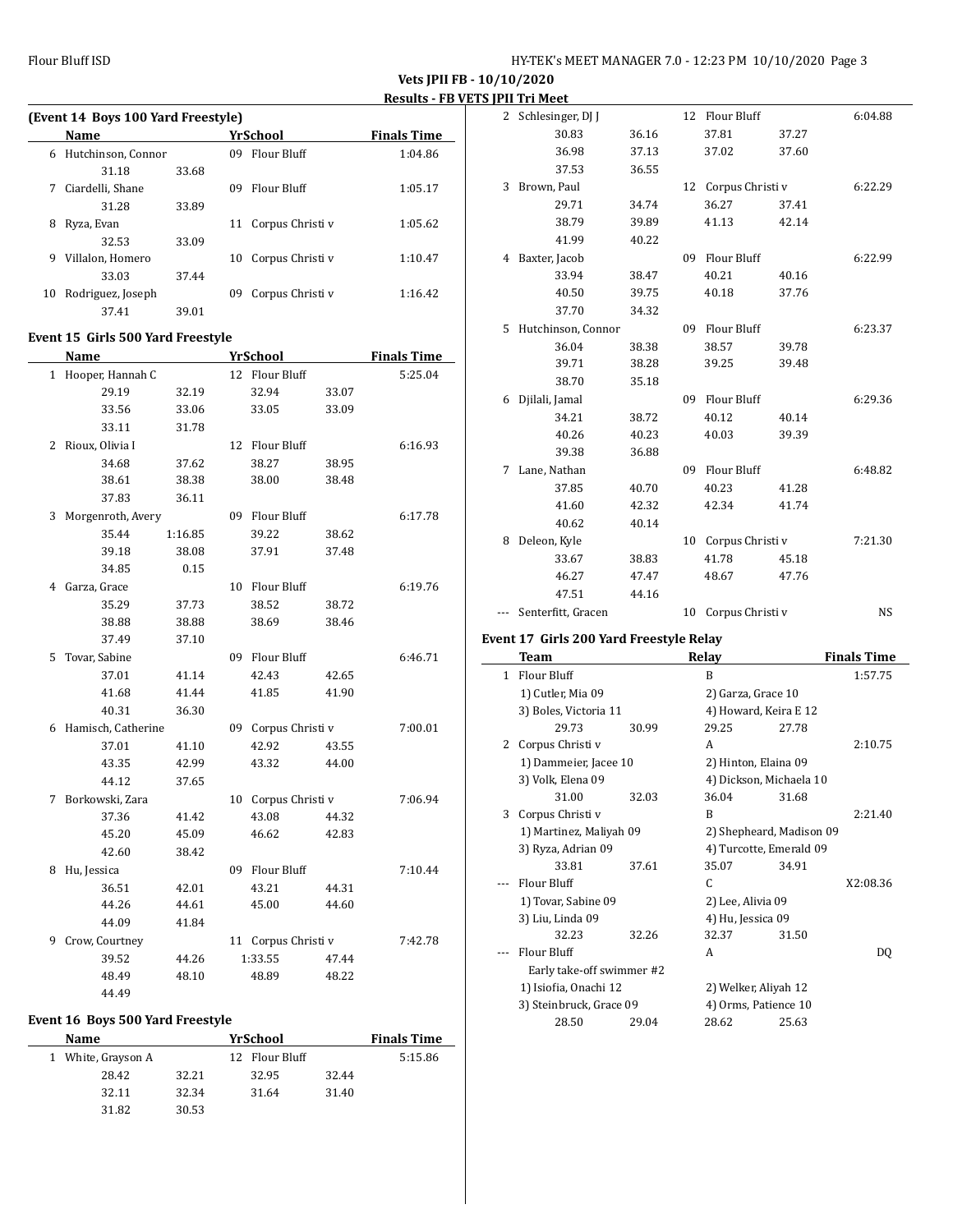| (Event 14 Boys 100 Yard Freestyle) |                    |       |     |                    |                    |  |  |  |
|------------------------------------|--------------------|-------|-----|--------------------|--------------------|--|--|--|
|                                    | <b>Name</b>        |       |     | YrSchool           | <b>Finals Time</b> |  |  |  |
| 6                                  | Hutchinson, Connor |       | 09. | Flour Bluff        | 1:04.86            |  |  |  |
|                                    | 31.18              | 33.68 |     |                    |                    |  |  |  |
| 7                                  | Ciardelli, Shane   |       | 09  | <b>Flour Bluff</b> | 1:05.17            |  |  |  |
|                                    | 31.28              | 33.89 |     |                    |                    |  |  |  |
| 8                                  | Ryza, Evan         |       | 11  | Corpus Christi v   | 1:05.62            |  |  |  |
|                                    | 32.53              | 33.09 |     |                    |                    |  |  |  |
| 9                                  | Villalon, Homero   |       | 10  | Corpus Christi v   | 1:10.47            |  |  |  |
|                                    | 33.03              | 37.44 |     |                    |                    |  |  |  |
| 10                                 | Rodriguez, Joseph  |       | 09  | Corpus Christi v   | 1:16.42            |  |  |  |
|                                    | 37.41              | 39.01 |     |                    |                    |  |  |  |
|                                    | -----<br>- - - -   | .     |     |                    |                    |  |  |  |

#### **Event 15 Girls 500 Yard Freestyle**

|   | <b>Name</b>        |         |    | <u>YrSchool</u>    |       | <b>Finals Time</b> |
|---|--------------------|---------|----|--------------------|-------|--------------------|
|   | 1 Hooper, Hannah C |         |    | 12 Flour Bluff     |       | 5:25.04            |
|   | 29.19              | 32.19   |    | 32.94              | 33.07 |                    |
|   | 33.56              | 33.06   |    | 33.05              | 33.09 |                    |
|   | 33.11              | 31.78   |    |                    |       |                    |
| 2 | Rioux, Olivia I    |         |    | 12 Flour Bluff     |       | 6:16.93            |
|   | 34.68              | 37.62   |    | 38.27              | 38.95 |                    |
|   | 38.61              | 38.38   |    | 38.00              | 38.48 |                    |
|   | 37.83              | 36.11   |    |                    |       |                    |
| 3 | Morgenroth, Avery  |         |    | 09 Flour Bluff     |       | 6:17.78            |
|   | 35.44              | 1:16.85 |    | 39.22              | 38.62 |                    |
|   | 39.18              | 38.08   |    | 37.91              | 37.48 |                    |
|   | 34.85              | 0.15    |    |                    |       |                    |
| 4 | Garza, Grace       |         | 10 | Flour Bluff        |       | 6:19.76            |
|   | 35.29              | 37.73   |    | 38.52              | 38.72 |                    |
|   | 38.88              | 38.88   |    | 38.69              | 38.46 |                    |
|   | 37.49              | 37.10   |    |                    |       |                    |
| 5 | Tovar, Sabine      |         | 09 | <b>Flour Bluff</b> |       | 6:46.71            |
|   | 37.01              | 41.14   |    | 42.43              | 42.65 |                    |
|   | 41.68              | 41.44   |    | 41.85              | 41.90 |                    |
|   | 40.31              | 36.30   |    |                    |       |                    |
| 6 | Hamisch, Catherine |         | 09 | Corpus Christi v   |       | 7:00.01            |
|   | 37.01              | 41.10   |    | 42.92              | 43.55 |                    |
|   | 43.35              | 42.99   |    | 43.32              | 44.00 |                    |
|   | 44.12              | 37.65   |    |                    |       |                    |
| 7 | Borkowski, Zara    |         | 10 | Corpus Christi v   |       | 7:06.94            |
|   | 37.36              | 41.42   |    | 43.08              | 44.32 |                    |
|   | 45.20              | 45.09   |    | 46.62              | 42.83 |                    |
|   | 42.60              | 38.42   |    |                    |       |                    |
| 8 | Hu, Jessica        |         |    | 09 Flour Bluff     |       | 7:10.44            |
|   | 36.51              | 42.01   |    | 43.21              | 44.31 |                    |
|   | 44.26              | 44.61   |    | 45.00              | 44.60 |                    |
|   | 44.09              | 41.84   |    |                    |       |                    |
| 9 | Crow, Courtney     |         | 11 | Corpus Christi v   |       | 7:42.78            |
|   | 39.52              | 44.26   |    | 1:33.55            | 47.44 |                    |
|   | 48.49              | 48.10   |    | 48.89              | 48.22 |                    |
|   | 44.49              |         |    |                    |       |                    |

### **Event 16 Boys 500 Yard Freestyle**

| Name               |       | YrSchool       | <b>Finals Time</b> |         |
|--------------------|-------|----------------|--------------------|---------|
| 1 White, Grayson A |       | 12 Flour Bluff |                    | 5:15.86 |
| 28.42              | 32.21 | 32.95          | 32.44              |         |
| 32.11              | 32.34 | 31.64          | 31.40              |         |
| 31.82              | 30.53 |                |                    |         |

|   | 1) Cutler Mia 09                        |       |    | 2) Garza, Grace 10 |                |                    |
|---|-----------------------------------------|-------|----|--------------------|----------------|--------------------|
|   | 1 Flour Bluff                           |       |    | B                  |                | 1:57.75            |
|   | <b>Team</b>                             |       |    | <b>Relay</b>       |                | <b>Finals Time</b> |
|   | Event 17 Girls 200 Yard Freestyle Relay |       |    |                    |                |                    |
|   | --- Senterfitt, Gracen                  |       | 10 | Corpus Christi v   |                | <b>NS</b>          |
|   | 47.51                                   | 44.16 |    |                    |                |                    |
|   | 46.27                                   | 47.47 |    | 48.67              | 47.76          |                    |
|   | 33.67                                   | 38.83 |    | 41.78              | 45.18          |                    |
| 8 | Deleon, Kyle                            |       | 10 | Corpus Christi v   |                | 7:21.30            |
|   | 40.62                                   | 40.14 |    |                    |                |                    |
|   | 41.60                                   | 42.32 |    | 42.34              | 41.74          |                    |
|   | 37.85                                   | 40.70 |    | 40.23              | 41.28          |                    |
| 7 | Lane, Nathan                            |       | 09 | Flour Bluff        |                | 6:48.82            |
|   | 39.38                                   | 36.88 |    |                    |                |                    |
|   | 40.26                                   | 40.23 |    | 40.03              | 39.39          |                    |
|   | 34.21                                   | 38.72 |    | 40.12              | 40.14          |                    |
| 6 | Djilali, Jamal                          |       | 09 | Flour Bluff        |                | 6:29.36            |
|   | 38.70                                   | 35.18 |    |                    |                |                    |
|   | 39.71                                   | 38.28 |    | 39.25              | 39.48          |                    |
|   | 36.04                                   | 38.38 |    | 38.57              | 39.78          |                    |
| 5 | Hutchinson, Connor                      |       | 09 | <b>Flour Bluff</b> |                | 6:23.37            |
|   | 37.70                                   | 34.32 |    |                    |                |                    |
|   | 40.50                                   | 39.75 |    | 40.18              | 37.76          |                    |
|   | 33.94                                   | 38.47 |    | 40.21              | 40.16          |                    |
| 4 | Baxter, Jacob                           | 40.22 | 09 | Flour Bluff        |                | 6:22.99            |
|   | 41.99                                   | 39.89 |    |                    |                |                    |
|   | 29.71<br>38.79                          | 34.74 |    | 36.27<br>41.13     | 37.41<br>42.14 |                    |
| 3 | Brown, Paul                             |       | 12 | Corpus Christi v   |                | 6:22.29            |
|   | 37.53                                   | 36.55 |    |                    |                |                    |
|   | 36.98                                   | 37.13 |    | 37.02              | 37.60          |                    |
|   | 30.83                                   | 36.16 |    | 37.81              | 37.27          |                    |
| 2 | Schlesinger, DJ J                       |       | 12 | Flour Bluff        |                | 6:04.88            |
|   |                                         |       |    |                    |                |                    |

| 1 | Flour Bluff               |       | B                        |       | 1:57.75  |
|---|---------------------------|-------|--------------------------|-------|----------|
|   | 1) Cutler, Mia 09         |       | 2) Garza, Grace 10       |       |          |
|   | 3) Boles, Victoria 11     |       | 4) Howard, Keira E 12    |       |          |
|   | 29.73                     | 30.99 | 29.25                    | 27.78 |          |
| 2 | Corpus Christi v          |       | A                        |       | 2:10.75  |
|   | 1) Dammeier, Jacee 10     |       | 2) Hinton, Elaina 09     |       |          |
|   | 3) Volk, Elena 09         |       | 4) Dickson, Michaela 10  |       |          |
|   | 31.00                     | 32.03 | 36.04                    | 31.68 |          |
| 3 | Corpus Christi v          |       | B                        |       | 2:21.40  |
|   | 1) Martinez, Maliyah 09   |       | 2) Shepheard, Madison 09 |       |          |
|   | 3) Ryza, Adrian 09        |       | 4) Turcotte, Emerald 09  |       |          |
|   | 33.81                     | 37.61 | 35.07                    | 34.91 |          |
|   | Flour Bluff               |       | C.                       |       | X2:08.36 |
|   | 1) Tovar, Sabine 09       |       | 2) Lee, Alivia 09        |       |          |
|   | 3) Liu, Linda 09          |       | 4) Hu, Jessica 09        |       |          |
|   | 32.23                     | 32.26 | 32.37                    | 31.50 |          |
|   | Flour Bluff               |       | A                        |       | DO.      |
|   | Early take-off swimmer #2 |       |                          |       |          |
|   | 1) Isiofia, Onachi 12     |       | 2) Welker, Aliyah 12     |       |          |
|   | 3) Steinbruck, Grace 09   |       | 4) Orms, Patience 10     |       |          |
|   | 28.50                     | 29.04 | 28.62                    | 25.63 |          |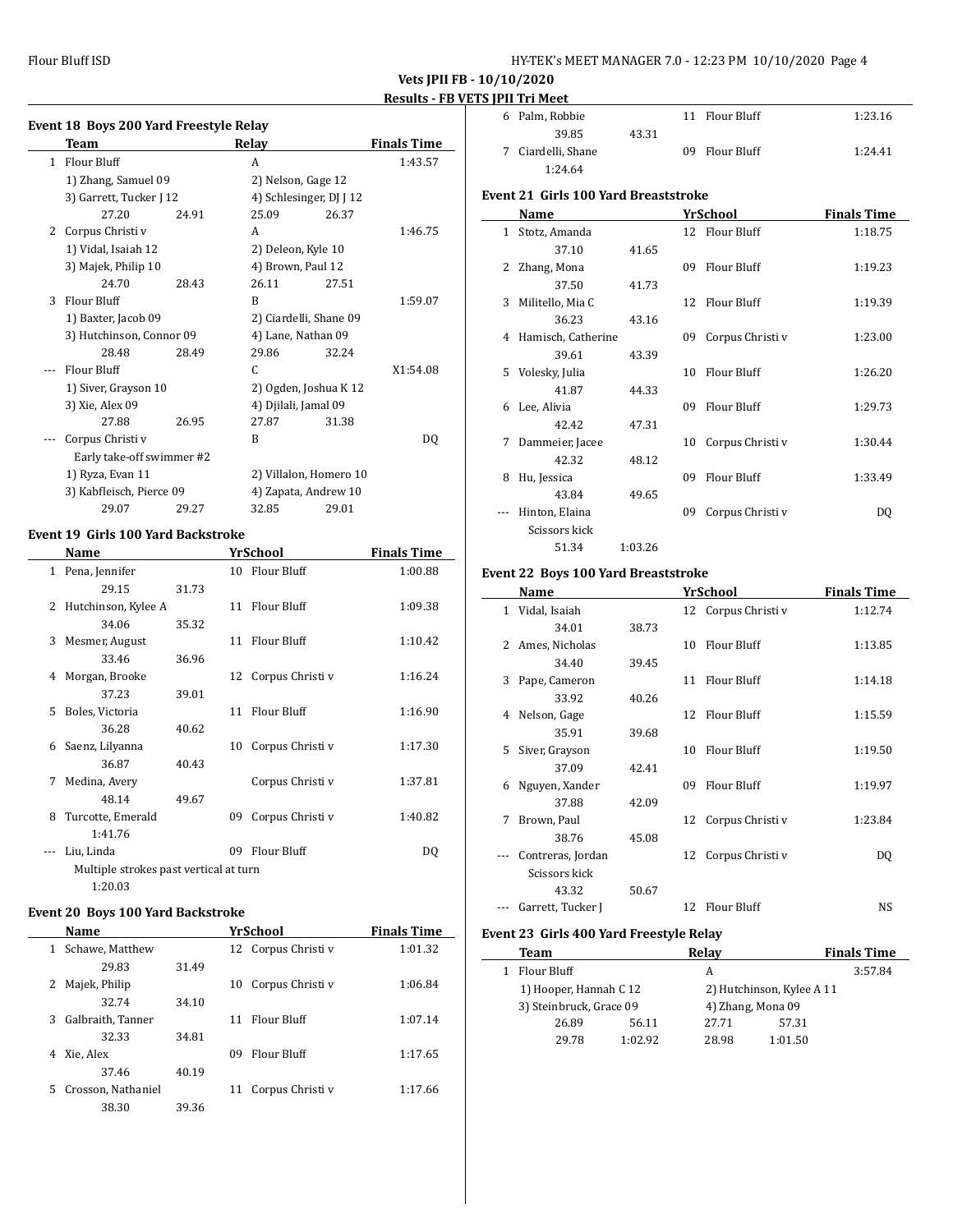Flour Bluff ISD HY-TEK's MEET MANAGER 7.0 - 12:23 PM 10/10/2020 Page 4

**Vets JPII FB - 10/10/2020 Results - FB VETS JPII Tri Meet**

|  | Event 18 Boys 200 Yard Freestyle Relay |  |
|--|----------------------------------------|--|
|  |                                        |  |

|   | Team                      |       | Relay                   |       | <b>Finals Time</b> |
|---|---------------------------|-------|-------------------------|-------|--------------------|
| 1 | Flour Bluff               |       | A                       |       | 1:43.57            |
|   | 1) Zhang, Samuel 09       |       | 2) Nelson, Gage 12      |       |                    |
|   | 3) Garrett, Tucker J 12   |       | 4) Schlesinger, DJ J 12 |       |                    |
|   | 27.20                     | 24.91 | 25.09                   | 26.37 |                    |
| 2 | Corpus Christi v          |       | A                       |       | 1:46.75            |
|   | 1) Vidal, Isaiah 12       |       | 2) Deleon, Kyle 10      |       |                    |
|   | 3) Majek, Philip 10       |       | 4) Brown, Paul 12       |       |                    |
|   | 24.70                     | 28.43 | 26.11                   | 27.51 |                    |
| 3 | Flour Bluff               |       | R                       |       | 1:59.07            |
|   | 1) Baxter, Jacob 09       |       | 2) Ciardelli, Shane 09  |       |                    |
|   | 3) Hutchinson, Connor 09  |       | 4) Lane, Nathan 09      |       |                    |
|   | 28.48                     | 28.49 | 29.86                   | 32.24 |                    |
|   | Flour Bluff               |       | C                       |       | X1:54.08           |
|   | 1) Siver, Grayson 10      |       | 2) Ogden, Joshua K 12   |       |                    |
|   | 3) Xie, Alex 09           |       | 4) Djilali, Jamal 09    |       |                    |
|   | 27.88                     | 26.95 | 27.87                   | 31.38 |                    |
|   | Corpus Christi v          |       | B                       |       | DQ                 |
|   | Early take-off swimmer #2 |       |                         |       |                    |
|   | 1) Ryza, Evan 11          |       | 2) Villalon, Homero 10  |       |                    |
|   | 3) Kabfleisch, Pierce 09  |       | 4) Zapata, Andrew 10    |       |                    |
|   | 29.07                     | 29.27 | 32.85                   | 29.01 |                    |

### **Event 19 Girls 100 Yard Backstroke**

|              | Name                                   |       |    | YrSchool            | <b>Finals Time</b> |
|--------------|----------------------------------------|-------|----|---------------------|--------------------|
| $\mathbf{1}$ | Pena, Jennifer                         |       |    | 10 Flour Bluff      | 1:00.88            |
|              | 29.15                                  | 31.73 |    |                     |                    |
| 2            | Hutchinson, Kylee A                    |       |    | 11 Flour Bluff      | 1:09.38            |
|              | 34.06                                  | 35.32 |    |                     |                    |
| 3            | Mesmer, August                         |       |    | 11 Flour Bluff      | 1:10.42            |
|              | 33.46                                  | 36.96 |    |                     |                    |
| 4            | Morgan, Brooke                         |       |    | 12 Corpus Christi v | 1:16.24            |
|              | 37.23                                  | 39.01 |    |                     |                    |
| 5.           | Boles, Victoria                        |       |    | 11 Flour Bluff      | 1:16.90            |
|              | 36.28                                  | 40.62 |    |                     |                    |
| 6            | Saenz, Lilyanna                        |       | 10 | Corpus Christi v    | 1:17.30            |
|              | 36.87                                  | 40.43 |    |                     |                    |
| 7            | Medina, Avery                          |       |    | Corpus Christi v    | 1:37.81            |
|              | 48.14                                  | 49.67 |    |                     |                    |
| 8            | Turcotte, Emerald                      |       | 09 | Corpus Christi v    | 1:40.82            |
|              | 1:41.76                                |       |    |                     |                    |
|              | Liu, Linda                             |       | 09 | Flour Bluff         | DQ                 |
|              | Multiple strokes past vertical at turn |       |    |                     |                    |
|              | 1:20.03                                |       |    |                     |                    |

#### **Event 20 Boys 100 Yard Backstroke**

| Name                     |       | YrSchool               | <b>Finals Time</b> |
|--------------------------|-------|------------------------|--------------------|
| Schawe, Matthew<br>1     |       | 12 Corpus Christi v    | 1:01.32            |
| 29.83                    | 31.49 |                        |                    |
| Majek, Philip<br>2       |       | 10 Corpus Christi v    | 1:06.84            |
| 32.74                    | 34.10 |                        |                    |
| Galbraith, Tanner<br>3   |       | 11 Flour Bluff         | 1:07.14            |
| 32.33                    | 34.81 |                        |                    |
| Xie, Alex<br>4           |       | Flour Bluff<br>09.     | 1:17.65            |
| 37.46                    | 40.19 |                        |                    |
| Crosson, Nathaniel<br>5. |       | Corpus Christi v<br>11 | 1:17.66            |
| 38.30                    | 39.36 |                        |                    |

| 6 Palm, Robbie     |       | 11 Flour Bluff | 1:23.16 |
|--------------------|-------|----------------|---------|
| 39.85              | 43.31 |                |         |
| 7 Ciardelli, Shane |       | 09 Flour Bluff | 1:24.41 |
| 1:24.64            |       |                |         |

#### **Event 21 Girls 100 Yard Breaststroke**

|              | Name               |         |    | <b>YrSchool</b>  | <b>Finals Time</b> |
|--------------|--------------------|---------|----|------------------|--------------------|
| $\mathbf{1}$ | Stotz, Amanda      |         |    | 12 Flour Bluff   | 1:18.75            |
|              | 37.10              | 41.65   |    |                  |                    |
| 2            | Zhang, Mona        |         | 09 | Flour Bluff      | 1:19.23            |
|              | 37.50              | 41.73   |    |                  |                    |
| 3            | Militello, Mia C   |         | 12 | Flour Bluff      | 1:19.39            |
|              | 36.23              | 43.16   |    |                  |                    |
| 4            | Hamisch, Catherine |         | 09 | Corpus Christi v | 1:23.00            |
|              | 39.61              | 43.39   |    |                  |                    |
| 5.           | Volesky, Julia     |         | 10 | Flour Bluff      | 1:26.20            |
|              | 41.87              | 44.33   |    |                  |                    |
| 6            | Lee, Alivia        |         | 09 | Flour Bluff      | 1:29.73            |
|              | 42.42              | 47.31   |    |                  |                    |
| 7            | Dammeier, Jacee    |         | 10 | Corpus Christi v | 1:30.44            |
|              | 42.32              | 48.12   |    |                  |                    |
| 8            | Hu, Jessica        |         | 09 | Flour Bluff      | 1:33.49            |
|              | 43.84              | 49.65   |    |                  |                    |
|              | Hinton, Elaina     |         | 09 | Corpus Christi v | DQ                 |
|              | Scissors kick      |         |    |                  |                    |
|              | 51.34              | 1:03.26 |    |                  |                    |

#### **Event 22 Boys 100 Yard Breaststroke**

| Name |                   |       | YrSchool | <b>Finals Time</b>  |         |
|------|-------------------|-------|----------|---------------------|---------|
|      | 1 Vidal, Isaiah   |       |          | 12 Corpus Christi v | 1:12.74 |
|      | 34.01             | 38.73 |          |                     |         |
| 2    | Ames, Nicholas    |       | 10       | Flour Bluff         | 1:13.85 |
|      | 34.40             | 39.45 |          |                     |         |
| 3    | Pape, Cameron     |       | 11       | Flour Bluff         | 1:14.18 |
|      | 33.92             | 40.26 |          |                     |         |
| 4    | Nelson, Gage      |       |          | 12 Flour Bluff      | 1:15.59 |
|      | 35.91             | 39.68 |          |                     |         |
| 5.   | Siver, Grayson    |       | 10       | Flour Bluff         | 1:19.50 |
|      | 37.09             | 42.41 |          |                     |         |
| 6    | Nguyen, Xander    |       | 09       | Flour Bluff         | 1:19.97 |
|      | 37.88             | 42.09 |          |                     |         |
| 7    | Brown, Paul       |       |          | 12 Corpus Christi v | 1:23.84 |
|      | 38.76             | 45.08 |          |                     |         |
|      | Contreras, Jordan |       |          | 12 Corpus Christi v | DQ      |
|      | Scissors kick     |       |          |                     |         |
|      | 43.32             | 50.67 |          |                     |         |
|      | Garrett, Tucker J |       |          | 12 Flour Bluff      | NS      |

#### **Event 23 Girls 400 Yard Freestyle Relay**

| <b>Finals Time</b> |
|--------------------|
| 3:57.84            |
|                    |
|                    |
|                    |
|                    |
|                    |